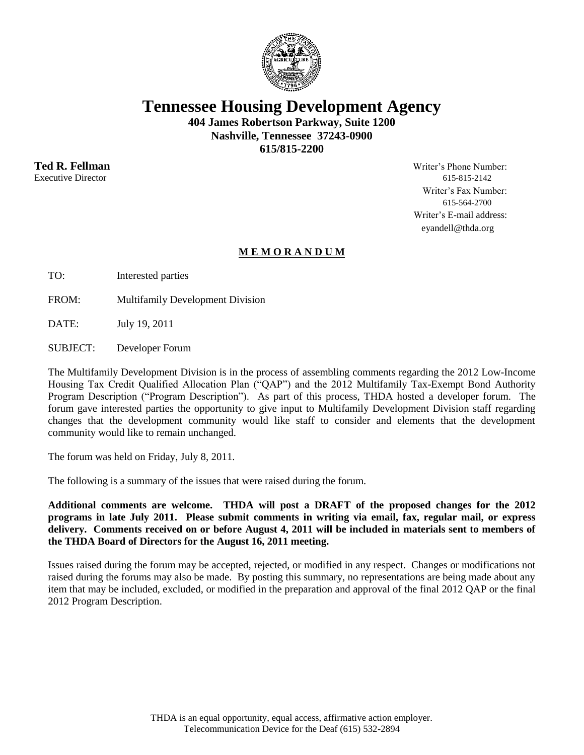

**Tennessee Housing Development Agency**

**404 James Robertson Parkway, Suite 1200 Nashville, Tennessee 37243-0900 615/815-2200**

Executive Director 615-815-2142

**Ted R. Fellman** Writer's Phone Number: Writer's Fax Number: 615-564-2700 Writer's E-mail address: eyandell@thda.org

## **M E M O R A N D U M**

TO: Interested parties

FROM: Multifamily Development Division

DATE: July 19, 2011

SUBJECT: Developer Forum

The Multifamily Development Division is in the process of assembling comments regarding the 2012 Low-Income Housing Tax Credit Qualified Allocation Plan ("QAP") and the 2012 Multifamily Tax-Exempt Bond Authority Program Description ("Program Description"). As part of this process, THDA hosted a developer forum. The forum gave interested parties the opportunity to give input to Multifamily Development Division staff regarding changes that the development community would like staff to consider and elements that the development community would like to remain unchanged.

The forum was held on Friday, July 8, 2011.

The following is a summary of the issues that were raised during the forum.

**Additional comments are welcome. THDA will post a DRAFT of the proposed changes for the 2012 programs in late July 2011. Please submit comments in writing via email, fax, regular mail, or express delivery. Comments received on or before August 4, 2011 will be included in materials sent to members of the THDA Board of Directors for the August 16, 2011 meeting.**

Issues raised during the forum may be accepted, rejected, or modified in any respect. Changes or modifications not raised during the forums may also be made. By posting this summary, no representations are being made about any item that may be included, excluded, or modified in the preparation and approval of the final 2012 QAP or the final 2012 Program Description.